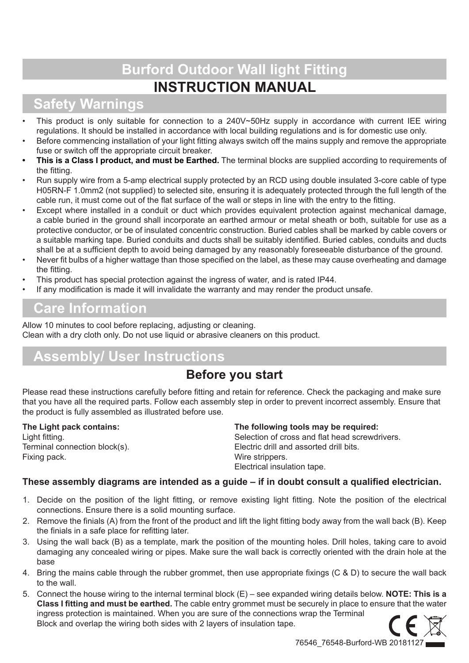# **Burford Outdoor Wall light Fitting INSTRUCTION MANUAL**

## **Safety Warnings**

- This product is only suitable for connection to a 240V~50Hz supply in accordance with current IEE wiring regulations. It should be installed in accordance with local building regulations and is for domestic use only.
- Before commencing installation of your light fitting always switch off the mains supply and remove the appropriate fuse or switch off the appropriate circuit breaker.
- **This is a Class I product, and must be Earthed.** The terminal blocks are supplied according to requirements of the fitting.
- Run supply wire from a 5-amp electrical supply protected by an RCD using double insulated 3-core cable of type H05RN-F 1.0mm2 (not supplied) to selected site, ensuring it is adequately protected through the full length of the cable run, it must come out of the flat surface of the wall or steps in line with the entry to the fitting.
- Except where installed in a conduit or duct which provides equivalent protection against mechanical damage, a cable buried in the ground shall incorporate an earthed armour or metal sheath or both, suitable for use as a protective conductor, or be of insulated concentric construction. Buried cables shall be marked by cable covers or a suitable marking tape. Buried conduits and ducts shall be suitably identified. Buried cables, conduits and ducts shall be at a sufficient depth to avoid being damaged by any reasonably foreseeable disturbance of the ground.
- Never fit bulbs of a higher wattage than those specified on the label, as these may cause overheating and damage the fitting.
- This product has special protection against the ingress of water, and is rated IP44.
- If any modification is made it will invalidate the warranty and may render the product unsafe.

## **Care Information**

Allow 10 minutes to cool before replacing, adjusting or cleaning. Clean with a dry cloth only. Do not use liquid or abrasive cleaners on this product.

## **Assembly/ User Instructions**

### **Before you start**

Please read these instructions carefully before fitting and retain for reference. Check the packaging and make sure that you have all the required parts. Follow each assembly step in order to prevent incorrect assembly. Ensure that the product is fully assembled as illustrated before use.

**The Light pack contains:** Light fitting. Terminal connection block(s). Fixing pack.

#### **The following tools may be required:**

Selection of cross and flat head screwdrivers. Electric drill and assorted drill bits. Wire strippers. Electrical insulation tape.

### **These assembly diagrams are intended as a guide – if in doubt consult a qualified electrician.**

- 1. Decide on the position of the light fitting, or remove existing light fitting. Note the position of the electrical connections. Ensure there is a solid mounting surface.
- 2. Remove the finials (A) from the front of the product and lift the light fitting body away from the wall back (B). Keep the finials in a safe place for refitting later.
- 3. Using the wall back (B) as a template, mark the position of the mounting holes. Drill holes, taking care to avoid damaging any concealed wiring or pipes. Make sure the wall back is correctly oriented with the drain hole at the base
- 4. Bring the mains cable through the rubber grommet, then use appropriate fixings (C & D) to secure the wall back to the wall.
- 5. Connect the house wiring to the internal terminal block (E) see expanded wiring details below. **NOTE: This is a Class I fitting and must be earthed.** The cable entry grommet must be securely in place to ensure that the water ingress protection is maintained. When you are sure of the connections wrap the Terminal Block and overlap the wiring both sides with 2 layers of insulation tape.

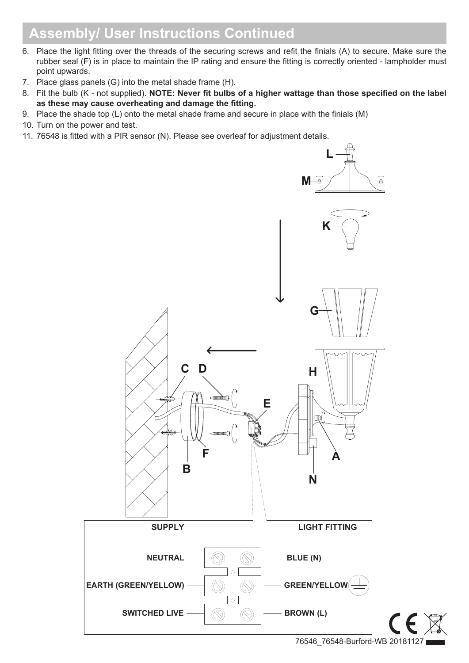## **Assembly/ User Instructions Continued**

- 6. Place the light fitting over the threads of the securing screws and refit the finials (A) to secure. Make sure the rubber seal (F) is in place to maintain the IP rating and ensure the fitting is correctly oriented - lampholder must point upwards.
- 7. Place glass panels (G) into the metal shade frame (H).
- 8. Fit the bulb (K not supplied). **NOTE: Never fit bulbs of a higher wattage than those specified on the label as these may cause overheating and damage the fitting.**
- 9. Place the shade top (L) onto the metal shade frame and secure in place with the finials (M)
- 10. Turn on the power and test.
- 11. 76548 is fitted with a PIR sensor (N). Please see overleaf for adjustment details.